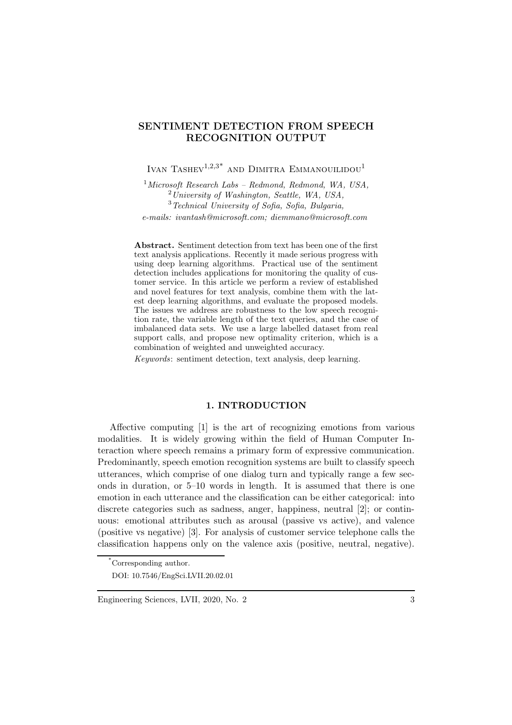# SENTIMENT DETECTION FROM SPEECH RECOGNITION OUTPUT

# IVAN TASHEV<sup>1,2,3\*</sup> AND DIMITRA EMMANOUILIDOU<sup>1</sup>

*Microsoft Research Labs – Redmond, Redmond, WA, USA, University of Washington, Seattle, WA, USA, Technical University of Sofia, Sofia, Bulgaria, e-mails: ivantash@microsoft.com; diemmano@microsoft.com*

Abstract. Sentiment detection from text has been one of the first text analysis applications. Recently it made serious progress with using deep learning algorithms. Practical use of the sentiment detection includes applications for monitoring the quality of customer service. In this article we perform a review of established and novel features for text analysis, combine them with the latest deep learning algorithms, and evaluate the proposed models. The issues we address are robustness to the low speech recognition rate, the variable length of the text queries, and the case of imbalanced data sets. We use a large labelled dataset from real support calls, and propose new optimality criterion, which is a combination of weighted and unweighted accuracy.

*Keywords*: sentiment detection, text analysis, deep learning.

## 1. INTRODUCTION

Affective computing [1] is the art of recognizing emotions from various modalities. It is widely growing within the field of Human Computer Interaction where speech remains a primary form of expressive communication. Predominantly, speech emotion recognition systems are built to classify speech utterances, which comprise of one dialog turn and typically range a few seconds in duration, or 5–10 words in length. It is assumed that there is one emotion in each utterance and the classification can be either categorical: into discrete categories such as sadness, anger, happiness, neutral [2]; or continuous: emotional attributes such as arousal (passive vs active), and valence (positive vs negative) [3]. For analysis of customer service telephone calls the classification happens only on the valence axis (positive, neutral, negative).

<sup>\*</sup>Corresponding author. DOI: 10.7546/EngSci.LVII.20.02.01

Engineering Sciences, LVII, 2020, No. 2 3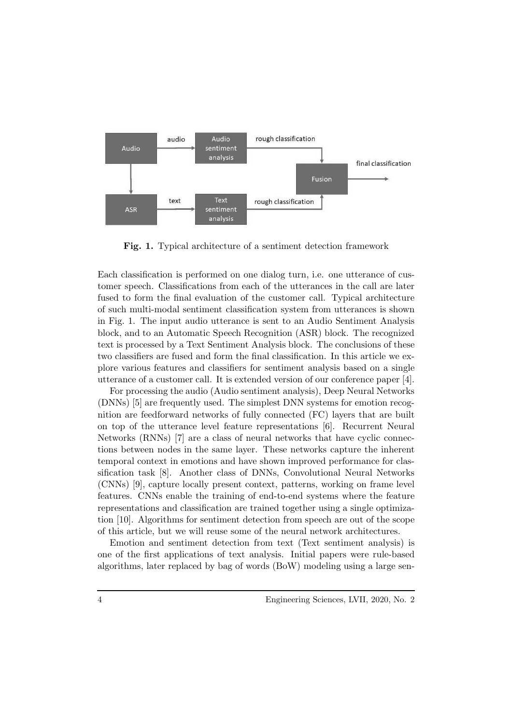

Fig. 1. Typical architecture of a sentiment detection framework

Each classification is performed on one dialog turn, i.e. one utterance of customer speech. Classifications from each of the utterances in the call are later fused to form the final evaluation of the customer call. Typical architecture of such multi-modal sentiment classification system from utterances is shown in Fig. 1. The input audio utterance is sent to an Audio Sentiment Analysis block, and to an Automatic Speech Recognition (ASR) block. The recognized text is processed by a Text Sentiment Analysis block. The conclusions of these two classifiers are fused and form the final classification. In this article we explore various features and classifiers for sentiment analysis based on a single utterance of a customer call. It is extended version of our conference paper [4].

For processing the audio (Audio sentiment analysis), Deep Neural Networks (DNNs) [5] are frequently used. The simplest DNN systems for emotion recognition are feedforward networks of fully connected (FC) layers that are built on top of the utterance level feature representations [6]. Recurrent Neural Networks (RNNs) [7] are a class of neural networks that have cyclic connections between nodes in the same layer. These networks capture the inherent temporal context in emotions and have shown improved performance for classification task [8]. Another class of DNNs, Convolutional Neural Networks (CNNs) [9], capture locally present context, patterns, working on frame level features. CNNs enable the training of end-to-end systems where the feature representations and classification are trained together using a single optimization [10]. Algorithms for sentiment detection from speech are out of the scope of this article, but we will reuse some of the neural network architectures.

Emotion and sentiment detection from text (Text sentiment analysis) is one of the first applications of text analysis. Initial papers were rule-based algorithms, later replaced by bag of words (BoW) modeling using a large sen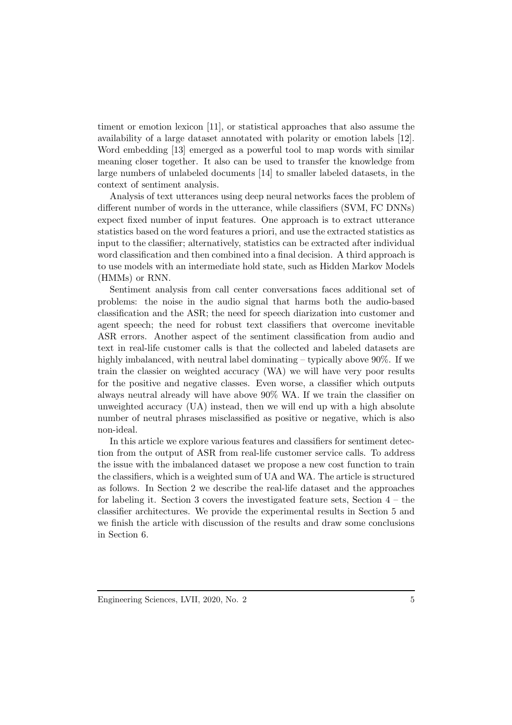timent or emotion lexicon [11], or statistical approaches that also assume the availability of a large dataset annotated with polarity or emotion labels [12]. Word embedding [13] emerged as a powerful tool to map words with similar meaning closer together. It also can be used to transfer the knowledge from large numbers of unlabeled documents [14] to smaller labeled datasets, in the context of sentiment analysis.

Analysis of text utterances using deep neural networks faces the problem of different number of words in the utterance, while classifiers (SVM, FC DNNs) expect fixed number of input features. One approach is to extract utterance statistics based on the word features a priori, and use the extracted statistics as input to the classifier; alternatively, statistics can be extracted after individual word classification and then combined into a final decision. A third approach is to use models with an intermediate hold state, such as Hidden Markov Models (HMMs) or RNN.

Sentiment analysis from call center conversations faces additional set of problems: the noise in the audio signal that harms both the audio-based classification and the ASR; the need for speech diarization into customer and agent speech; the need for robust text classifiers that overcome inevitable ASR errors. Another aspect of the sentiment classification from audio and text in real-life customer calls is that the collected and labeled datasets are highly imbalanced, with neutral label dominating – typically above 90%. If we train the classier on weighted accuracy (WA) we will have very poor results for the positive and negative classes. Even worse, a classifier which outputs always neutral already will have above 90% WA. If we train the classifier on unweighted accuracy (UA) instead, then we will end up with a high absolute number of neutral phrases misclassified as positive or negative, which is also non-ideal.

In this article we explore various features and classifiers for sentiment detection from the output of ASR from real-life customer service calls. To address the issue with the imbalanced dataset we propose a new cost function to train the classifiers, which is a weighted sum of UA and WA. The article is structured as follows. In Section 2 we describe the real-life dataset and the approaches for labeling it. Section 3 covers the investigated feature sets, Section  $4$  – the classifier architectures. We provide the experimental results in Section 5 and we finish the article with discussion of the results and draw some conclusions in Section 6.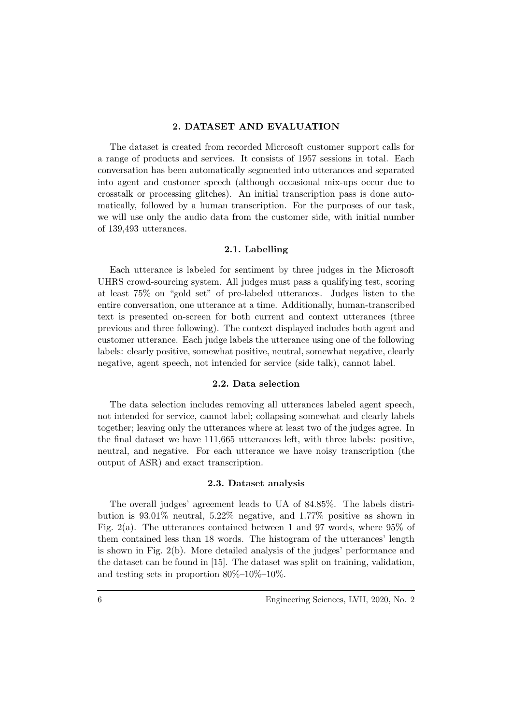#### 2. DATASET AND EVALUATION

The dataset is created from recorded Microsoft customer support calls for a range of products and services. It consists of 1957 sessions in total. Each conversation has been automatically segmented into utterances and separated into agent and customer speech (although occasional mix-ups occur due to crosstalk or processing glitches). An initial transcription pass is done automatically, followed by a human transcription. For the purposes of our task, we will use only the audio data from the customer side, with initial number of 139,493 utterances.

## 2.1. Labelling

Each utterance is labeled for sentiment by three judges in the Microsoft UHRS crowd-sourcing system. All judges must pass a qualifying test, scoring at least 75% on "gold set" of pre-labeled utterances. Judges listen to the entire conversation, one utterance at a time. Additionally, human-transcribed text is presented on-screen for both current and context utterances (three previous and three following). The context displayed includes both agent and customer utterance. Each judge labels the utterance using one of the following labels: clearly positive, somewhat positive, neutral, somewhat negative, clearly negative, agent speech, not intended for service (side talk), cannot label.

#### 2.2. Data selection

The data selection includes removing all utterances labeled agent speech, not intended for service, cannot label; collapsing somewhat and clearly labels together; leaving only the utterances where at least two of the judges agree. In the final dataset we have 111,665 utterances left, with three labels: positive, neutral, and negative. For each utterance we have noisy transcription (the output of ASR) and exact transcription.

#### 2.3. Dataset analysis

The overall judges' agreement leads to UA of 84.85%. The labels distribution is 93.01% neutral, 5.22% negative, and 1.77% positive as shown in Fig. 2(a). The utterances contained between 1 and 97 words, where 95% of them contained less than 18 words. The histogram of the utterances' length is shown in Fig. 2(b). More detailed analysis of the judges' performance and the dataset can be found in [15]. The dataset was split on training, validation, and testing sets in proportion 80%–10%–10%.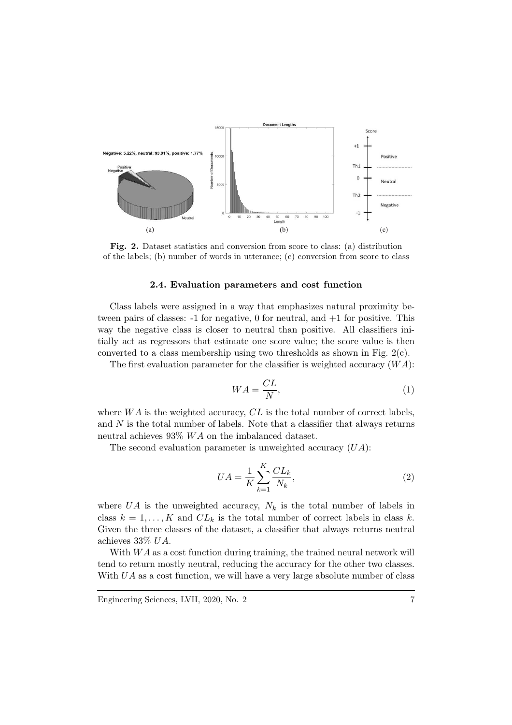

Fig. 2. Dataset statistics and conversion from score to class: (a) distribution of the labels; (b) number of words in utterance; (c) conversion from score to class

#### 2.4. Evaluation parameters and cost function

Class labels were assigned in a way that emphasizes natural proximity between pairs of classes:  $-1$  for negative, 0 for neutral, and  $+1$  for positive. This way the negative class is closer to neutral than positive. All classifiers initially act as regressors that estimate one score value; the score value is then converted to a class membership using two thresholds as shown in Fig.  $2(c)$ .

The first evaluation parameter for the classifier is weighted accuracy  $(W A)$ :

$$
WA = \frac{CL}{N},\tag{1}
$$

where  $WA$  is the weighted accuracy,  $CL$  is the total number of correct labels, and  $N$  is the total number of labels. Note that a classifier that always returns neutral achieves  $93\%$  WA on the imbalanced dataset.

The second evaluation parameter is unweighted accuracy  $(UA)$ :

$$
UA = \frac{1}{K} \sum_{k=1}^{K} \frac{CL_k}{N_k},\tag{2}
$$

where UA is the unweighted accuracy,  $N_k$  is the total number of labels in class  $k = 1, ..., K$  and  $CL_k$  is the total number of correct labels in class k. Given the three classes of the dataset, a classifier that always returns neutral achieves 33% UA.

With  $WA$  as a cost function during training, the trained neural network will tend to return mostly neutral, reducing the accuracy for the other two classes. With  $UA$  as a cost function, we will have a very large absolute number of class

Engineering Sciences, LVII, 2020, No. 2 7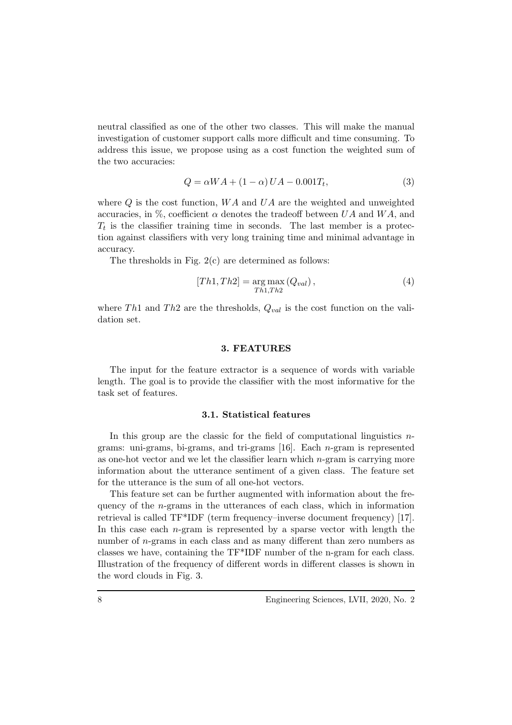neutral classified as one of the other two classes. This will make the manual investigation of customer support calls more difficult and time consuming. To address this issue, we propose using as a cost function the weighted sum of the two accuracies:

$$
Q = \alpha WA + (1 - \alpha) UA - 0.001T_t,
$$
\n
$$
(3)
$$

where  $Q$  is the cost function,  $WA$  and  $UA$  are the weighted and unweighted accuracies, in  $\%$ , coefficient  $\alpha$  denotes the tradeoff between UA and WA, and  $T_t$  is the classifier training time in seconds. The last member is a protection against classifiers with very long training time and minimal advantage in accuracy.

The thresholds in Fig. 2(c) are determined as follows:

$$
[Th1, Th2] = \underset{Th1, Th2}{\arg \max} (Q_{val}), \qquad (4)
$$

where Th<sub>1</sub> and Th<sub>2</sub> are the thresholds,  $Q_{val}$  is the cost function on the validation set.

#### 3. FEATURES

The input for the feature extractor is a sequence of words with variable length. The goal is to provide the classifier with the most informative for the task set of features.

#### 3.1. Statistical features

In this group are the classic for the field of computational linguistics  $n$ grams: uni-grams, bi-grams, and tri-grams [16]. Each n-gram is represented as one-hot vector and we let the classifier learn which n-gram is carrying more information about the utterance sentiment of a given class. The feature set for the utterance is the sum of all one-hot vectors.

This feature set can be further augmented with information about the frequency of the  $n$ -grams in the utterances of each class, which in information retrieval is called TF\*IDF (term frequency–inverse document frequency) [17]. In this case each  $n$ -gram is represented by a sparse vector with length the number of *n*-grams in each class and as many different than zero numbers as classes we have, containing the TF\*IDF number of the n-gram for each class. Illustration of the frequency of different words in different classes is shown in the word clouds in Fig. 3.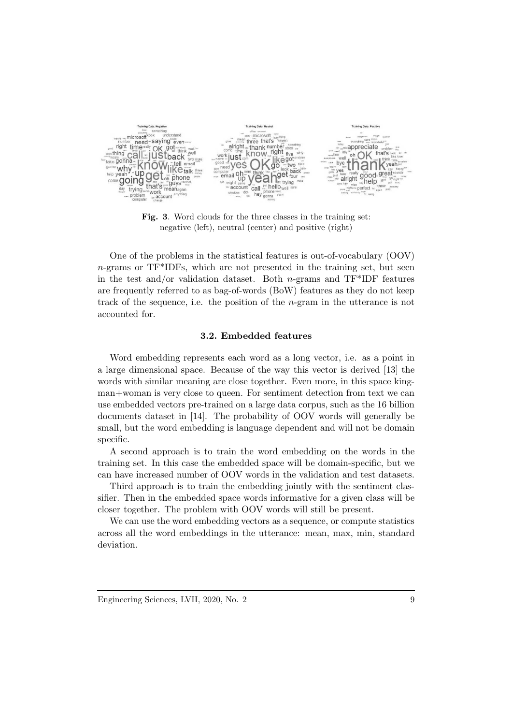

Fig. 3. Word clouds for the three classes in the training set: negative (left), neutral (center) and positive (right)

One of the problems in the statistical features is out-of-vocabulary (OOV) n-grams or TF\*IDFs, which are not presented in the training set, but seen in the test and/or validation dataset. Both n-grams and  $TF^*IDF$  features are frequently referred to as bag-of-words (BoW) features as they do not keep track of the sequence, i.e. the position of the n-gram in the utterance is not accounted for.

#### 3.2. Embedded features

Word embedding represents each word as a long vector, i.e. as a point in a large dimensional space. Because of the way this vector is derived [13] the words with similar meaning are close together. Even more, in this space kingman+woman is very close to queen. For sentiment detection from text we can use embedded vectors pre-trained on a large data corpus, such as the 16 billion documents dataset in [14]. The probability of OOV words will generally be small, but the word embedding is language dependent and will not be domain specific.

A second approach is to train the word embedding on the words in the training set. In this case the embedded space will be domain-specific, but we can have increased number of OOV words in the validation and test datasets.

Third approach is to train the embedding jointly with the sentiment classifier. Then in the embedded space words informative for a given class will be closer together. The problem with OOV words will still be present.

We can use the word embedding vectors as a sequence, or compute statistics across all the word embeddings in the utterance: mean, max, min, standard deviation.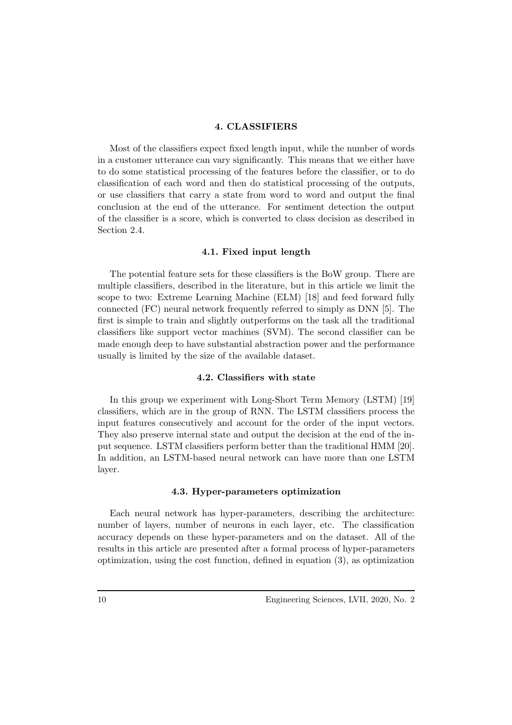## 4. CLASSIFIERS

Most of the classifiers expect fixed length input, while the number of words in a customer utterance can vary significantly. This means that we either have to do some statistical processing of the features before the classifier, or to do classification of each word and then do statistical processing of the outputs, or use classifiers that carry a state from word to word and output the final conclusion at the end of the utterance. For sentiment detection the output of the classifier is a score, which is converted to class decision as described in Section 2.4.

#### 4.1. Fixed input length

The potential feature sets for these classifiers is the BoW group. There are multiple classifiers, described in the literature, but in this article we limit the scope to two: Extreme Learning Machine (ELM) [18] and feed forward fully connected (FC) neural network frequently referred to simply as DNN [5]. The first is simple to train and slightly outperforms on the task all the traditional classifiers like support vector machines (SVM). The second classifier can be made enough deep to have substantial abstraction power and the performance usually is limited by the size of the available dataset.

#### 4.2. Classifiers with state

In this group we experiment with Long-Short Term Memory (LSTM) [19] classifiers, which are in the group of RNN. The LSTM classifiers process the input features consecutively and account for the order of the input vectors. They also preserve internal state and output the decision at the end of the input sequence. LSTM classifiers perform better than the traditional HMM [20]. In addition, an LSTM-based neural network can have more than one LSTM layer.

#### 4.3. Hyper-parameters optimization

Each neural network has hyper-parameters, describing the architecture: number of layers, number of neurons in each layer, etc. The classification accuracy depends on these hyper-parameters and on the dataset. All of the results in this article are presented after a formal process of hyper-parameters optimization, using the cost function, defined in equation (3), as optimization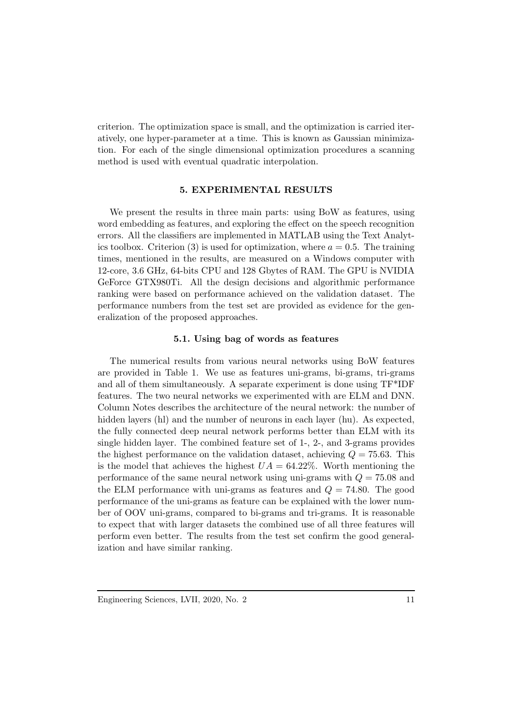criterion. The optimization space is small, and the optimization is carried iteratively, one hyper-parameter at a time. This is known as Gaussian minimization. For each of the single dimensional optimization procedures a scanning method is used with eventual quadratic interpolation.

#### 5. EXPERIMENTAL RESULTS

We present the results in three main parts: using BoW as features, using word embedding as features, and exploring the effect on the speech recognition errors. All the classifiers are implemented in MATLAB using the Text Analytics toolbox. Criterion (3) is used for optimization, where  $a = 0.5$ . The training times, mentioned in the results, are measured on a Windows computer with 12-core, 3.6 GHz, 64-bits CPU and 128 Gbytes of RAM. The GPU is NVIDIA GeForce GTX980Ti. All the design decisions and algorithmic performance ranking were based on performance achieved on the validation dataset. The performance numbers from the test set are provided as evidence for the generalization of the proposed approaches.

## 5.1. Using bag of words as features

The numerical results from various neural networks using BoW features are provided in Table 1. We use as features uni-grams, bi-grams, tri-grams and all of them simultaneously. A separate experiment is done using TF\*IDF features. The two neural networks we experimented with are ELM and DNN. Column Notes describes the architecture of the neural network: the number of hidden layers (hl) and the number of neurons in each layer (hu). As expected, the fully connected deep neural network performs better than ELM with its single hidden layer. The combined feature set of 1-, 2-, and 3-grams provides the highest performance on the validation dataset, achieving  $Q = 75.63$ . This is the model that achieves the highest  $UA = 64.22\%$ . Worth mentioning the performance of the same neural network using uni-grams with  $Q = 75.08$  and the ELM performance with uni-grams as features and  $Q = 74.80$ . The good performance of the uni-grams as feature can be explained with the lower number of OOV uni-grams, compared to bi-grams and tri-grams. It is reasonable to expect that with larger datasets the combined use of all three features will perform even better. The results from the test set confirm the good generalization and have similar ranking.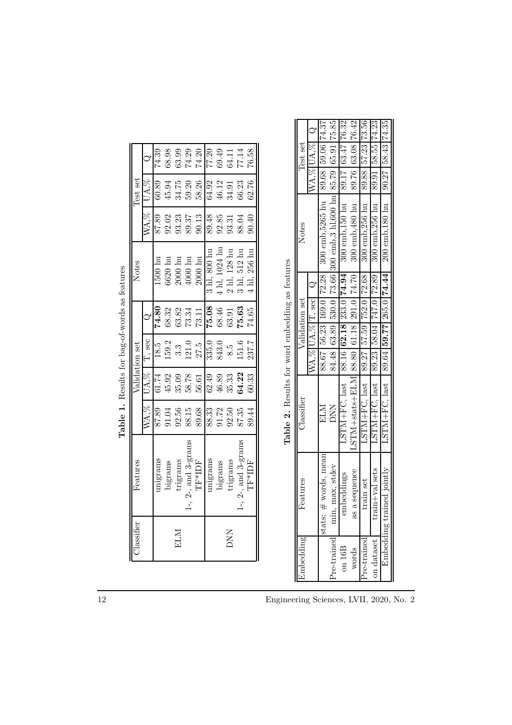|             |                  |                             | Table 1. Results for bag-of-words as features   |                |        |                            |      |                                     |                                              |          |                   |   |
|-------------|------------------|-----------------------------|-------------------------------------------------|----------------|--------|----------------------------|------|-------------------------------------|----------------------------------------------|----------|-------------------|---|
|             | <i>lassifier</i> | Features                    |                                                 | Validation set |        |                            |      | Notes                               |                                              | Test set |                   |   |
|             |                  |                             | WA.%                                            | UA.%           | T, sec |                            |      |                                     | $WA.\%$                                      | UA.%     |                   |   |
|             |                  | unigrams                    | 87.89                                           | 61.74          | 18.5   | 74.80                      |      | $500 \; \mathrm{hu}$                | 87.89                                        | 60.89    | 74.39             |   |
|             |                  | bigrams                     | 91.04                                           | 45.92          | 159.2  | 68.32                      |      | 6620 hu                             | 92.02                                        | 45.94    | 68.98             |   |
| ELM         |                  | trigrams                    | 92.56                                           | 35.09          | 3.3    | 63.82                      |      | $2000 \; \mathrm{hu}$               | 93.23                                        | 34.75    | 63.99             |   |
|             |                  | $-$ , $2$ -, and $3$ -grams | 88.15                                           | 58.78          | 121.0  | 73.34                      |      | 4000 hu                             | 89.37                                        | 59.20    | 74.29             |   |
|             |                  | TF*IDF                      | 89.68                                           | 56.61          | 27.5   | 73.11                      |      | $2000 \; \mathrm{hu}$               | 90.13                                        | 58.26    | 74.20             |   |
|             |                  | unigrams                    | 88.33                                           | 62.49          | 335.0  | 75.08                      |      | $3$ hl, $800$ hu                    | 89.48                                        | 64.92    | 77.20             |   |
|             |                  | bigrams                     | 91.72                                           | 46.89          | 843.0  | 68.46                      |      | 4 hl, 1024 hu                       | 92.85                                        | 46.12    | 69.49             |   |
| <b>NN</b>   |                  | trigrams                    | 92.50                                           | 35.33          | 8.5    | 63.91                      |      | 2 hl, 128 hu                        | 93.31                                        | 34.91    | 64.11             |   |
|             |                  | $-$ , $2$ -, and $3$ -grams | 87.35                                           | 64.22          | 151.6  | 75.63                      |      | $3 \mathrm{hl}$ , $512 \mathrm{hu}$ | 88.04                                        | 66.23    | 77.14             |   |
|             |                  | TF*IDF                      | 89.44                                           | 60.33          | 237.7  | 74.65                      | 4 Ы. | $.256 \; \mathrm{hu}$               | 90.40                                        | 62.76    | 76.58             |   |
|             |                  |                             |                                                 |                |        |                            |      |                                     |                                              |          |                   |   |
|             |                  |                             |                                                 |                |        |                            |      |                                     |                                              |          |                   |   |
|             |                  |                             | Table 2. Results for word embedding as features |                |        |                            |      |                                     |                                              |          |                   |   |
| Embedding   |                  | reatures                    | $\mathbb{C}$ lassifier                          |                |        | Validation set             |      |                                     | Notes                                        |          | Test set          |   |
|             |                  |                             |                                                 |                |        | $WA, \%$ [UA, $%$ [T, sec] |      | $\circ$                             |                                              |          | $WA. \%$ UA. $\%$ | S |
|             |                  | stats: # words, mean        | ELM                                             |                |        | 88.67 56.23 169.0 72.28    |      |                                     | 300 emb, 5265 hu                             | 89.68    | 59.06 74.37       |   |
| Pre-trained | min,             | max, stdev                  | <b>NN</b>                                       |                | 84.48  | 63.89                      |      |                                     | 530.0   73.66   300 emb, 3 h1,600 hu   85.79 |          | 65.91 75.85       |   |

| ï<br>i                |
|-----------------------|
| å<br>3                |
| Ç<br>3<br>Š           |
| j<br>i                |
| j<br>1<br>ć<br>í<br>J |
| î<br>ł<br>١<br>ç<br>¢ |
| I                     |
|                       |
| l                     |

12 Engineering Sciences, LVII, 2020, No. 2

on  $16B$ words

 $\mathbf{r}$ 

76.42 76.32 75.85

63.08

89.76 89.88

33.47

89.

 $300 \text{ emb}, 150 \text{ hu}$  $300$ emb,<br/> $480$ hu

 $74.94$ 74.70

233.0

291.0

61.18 62.18

88.80 88.16

 $STM + stats + ELM$ 

as a sequence embeddings

train set

last  $185$ 

53 Š 53

N<sub>+F</sub>C, last

LSЛ

min, max, stdev

74.35 74.23 50

58.43

200 emb, 180 hu  $300$  emb,  $256$  hu 300 emb.256

74.44

265.0

59.7 ăs.

89.64 89.  $89$ 

last

FM+FC.

D<br>H<br>H<br>H  $\sum_{i=1}^{n}$ P

train+val sets

on dataset re-trained

Embedding trained jointly

×

89. 90.

 $\mathbf{u}$ 

 $\frac{8}{3}$ 72.89

Pre-trained min, max, stdev DNN 84.48 63.89 530.0 73.66 300 emb,3 hl,600 hu 85.79 65.91 75.85<br>The standard min, max, stdev remarkation of the state of the state of the state of the state of the state of t on 16B embeddings LSTM+FC, last 88.16 62.18 233.0 74.94 300 emb,150 hu 89.17 63.47 76.32 words as a sequence LSTM+stats+ELM 88.80 61.18 291.0 74.70 300 emb,480 hu 89.76 63.08 76.42 Pre-trained train set LSTM+FC, last 89.27 57.59 752.0 72.68 300 emb,256 hu 89.88 57.23 73.56 on dataset train+val sets LSTM+FC, last 89.23 58.04 747.0 72.89 300 emb,256 hu 89.91 58.55 74.23 Embedding trained jointly  $\parallel$  LSTM+FC, last  $\parallel$  89.64  $\mid$  59.77  $\mid$  265.0  $\mid$  74.44  $\parallel$  200 emb,180 hu  $\parallel$  90.27  $\mid$  58.43  $\mid$  74.35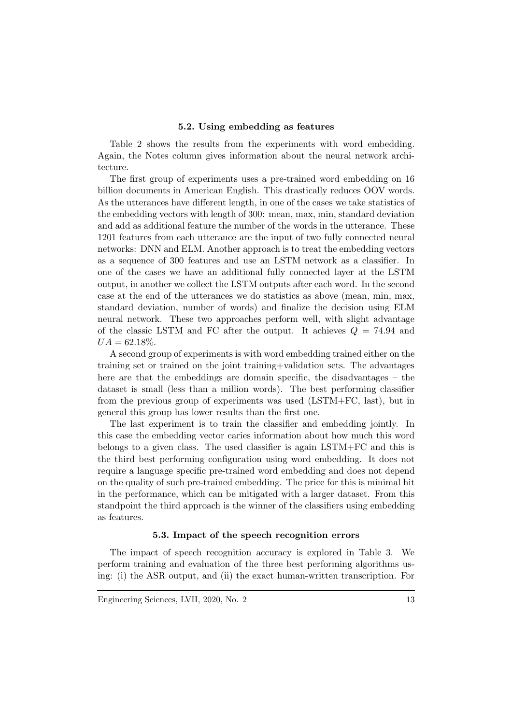#### 5.2. Using embedding as features

Table 2 shows the results from the experiments with word embedding. Again, the Notes column gives information about the neural network architecture.

The first group of experiments uses a pre-trained word embedding on 16 billion documents in American English. This drastically reduces OOV words. As the utterances have different length, in one of the cases we take statistics of the embedding vectors with length of 300: mean, max, min, standard deviation and add as additional feature the number of the words in the utterance. These 1201 features from each utterance are the input of two fully connected neural networks: DNN and ELM. Another approach is to treat the embedding vectors as a sequence of 300 features and use an LSTM network as a classifier. In one of the cases we have an additional fully connected layer at the LSTM output, in another we collect the LSTM outputs after each word. In the second case at the end of the utterances we do statistics as above (mean, min, max, standard deviation, number of words) and finalize the decision using ELM neural network. These two approaches perform well, with slight advantage of the classic LSTM and FC after the output. It achieves  $Q = 74.94$  and  $UA = 62.18\%.$ 

A second group of experiments is with word embedding trained either on the training set or trained on the joint training+validation sets. The advantages here are that the embeddings are domain specific, the disadvantages – the dataset is small (less than a million words). The best performing classifier from the previous group of experiments was used (LSTM+FC, last), but in general this group has lower results than the first one.

The last experiment is to train the classifier and embedding jointly. In this case the embedding vector caries information about how much this word belongs to a given class. The used classifier is again LSTM+FC and this is the third best performing configuration using word embedding. It does not require a language specific pre-trained word embedding and does not depend on the quality of such pre-trained embedding. The price for this is minimal hit in the performance, which can be mitigated with a larger dataset. From this standpoint the third approach is the winner of the classifiers using embedding as features.

# 5.3. Impact of the speech recognition errors

The impact of speech recognition accuracy is explored in Table 3. We perform training and evaluation of the three best performing algorithms using: (i) the ASR output, and (ii) the exact human-written transcription. For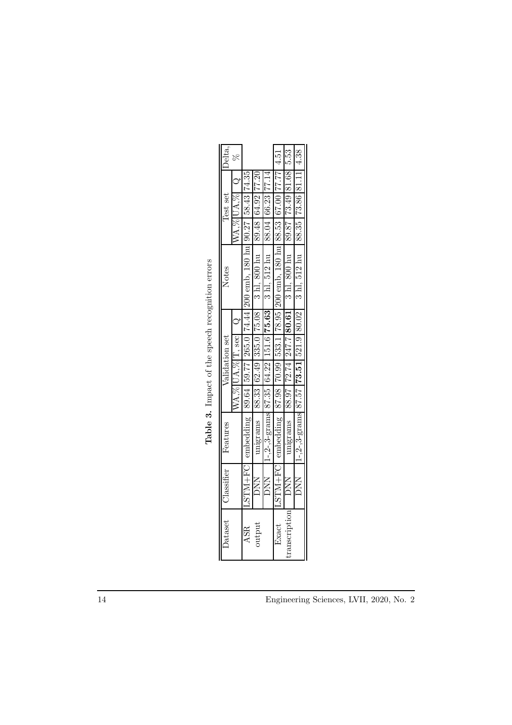| Delta          |                    |                                                                                             |                                                                                 |                                                                                        | 4.51                                                                                        | 5.53                                                                                          |                                                                             |
|----------------|--------------------|---------------------------------------------------------------------------------------------|---------------------------------------------------------------------------------|----------------------------------------------------------------------------------------|---------------------------------------------------------------------------------------------|-----------------------------------------------------------------------------------------------|-----------------------------------------------------------------------------|
|                |                    |                                                                                             |                                                                                 |                                                                                        |                                                                                             |                                                                                               |                                                                             |
| Lest set       |                    |                                                                                             |                                                                                 |                                                                                        |                                                                                             |                                                                                               |                                                                             |
|                |                    |                                                                                             |                                                                                 |                                                                                        |                                                                                             |                                                                                               |                                                                             |
| Notes          |                    | LSTM+FC embedding   89.64   59.77   265.0   74.44   200 emb, 180 hu   90.27   58.43   74.35 | unigrams   88.33   62.49   335.0   75.08   3 hl, 800 hu   89.48   64.92   77.20 | $1-2-3$ -grams 87.35 $(64.22)$ 151.6 <b>75.63</b> 3 hl, 512 hu $(88.04)$ 66.23 $77.14$ | LSTM+FC embedding   87.98   70.99   533.1   78.95   200 emb, 180 hu   88.53   67.00   77.77 | $\frac{1}{183.18}$   88.97   72.74   247.7   80.61   3 hl, 800 hu   89.87   78.83   81.68   1 | 1-,2-,3-grams 87.57 73.51 521.9 80.02 3 hl, 512 hu   88.35 73.86 81.11 4.38 |
|                |                    |                                                                                             |                                                                                 |                                                                                        |                                                                                             |                                                                                               |                                                                             |
| Validation set |                    |                                                                                             |                                                                                 |                                                                                        |                                                                                             |                                                                                               |                                                                             |
|                |                    |                                                                                             |                                                                                 |                                                                                        |                                                                                             |                                                                                               |                                                                             |
|                | WA, % UA, % T, sec |                                                                                             |                                                                                 |                                                                                        |                                                                                             |                                                                                               |                                                                             |
| Features       |                    |                                                                                             |                                                                                 |                                                                                        |                                                                                             |                                                                                               |                                                                             |
| Classifier     |                    |                                                                                             | <b>DNN</b>                                                                      | <b>NN</b>                                                                              |                                                                                             | <b>DNN</b>                                                                                    | <b>DNN</b>                                                                  |
| <b>Dataset</b> |                    | <b>ASR</b>                                                                                  | utput                                                                           |                                                                                        | Exact                                                                                       |                                                                                               |                                                                             |

Table 3. Impact of the speech recognition errors **Table 3.** Impact of the speech recognition errors

14 Engineering Sciences, LVII, 2020, No. 2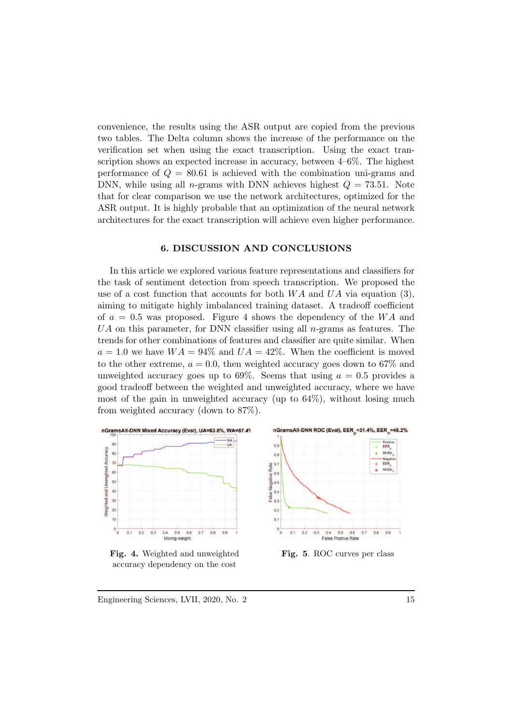convenience, the results using the ASR output are copied from the previous two tables. The Delta column shows the increase of the performance on the verification set when using the exact transcription. Using the exact transcription shows an expected increase in accuracy, between 4–6%. The highest performance of  $Q = 80.61$  is achieved with the combination uni-grams and DNN, while using all *n*-grams with DNN achieves highest  $Q = 73.51$ . Note that for clear comparison we use the network architectures, optimized for the ASR output. It is highly probable that an optimization of the neural network architectures for the exact transcription will achieve even higher performance.

#### 6. DISCUSSION AND CONCLUSIONS

In this article we explored various feature representations and classifiers for the task of sentiment detection from speech transcription. We proposed the use of a cost function that accounts for both  $WA$  and  $UA$  via equation (3), aiming to mitigate highly imbalanced training dataset. A tradeoff coefficient of  $a = 0.5$  was proposed. Figure 4 shows the dependency of the WA and  $UA$  on this parameter, for DNN classifier using all *n*-grams as features. The trends for other combinations of features and classifier are quite similar. When  $a = 1.0$  we have  $WA = 94\%$  and  $UA = 42\%$ . When the coefficient is moved to the other extreme,  $a = 0.0$ , then weighted accuracy goes down to 67% and unweighted accuracy goes up to 69%. Seems that using  $a = 0.5$  provides a good tradeoff between the weighted and unweighted accuracy, where we have most of the gain in unweighted accuracy (up to 64%), without losing much from weighted accuracy (down to 87%).



Fig. 4. Weighted and unweighted accuracy dependency on the cost



Engineering Sciences, LVII, 2020, No. 2 15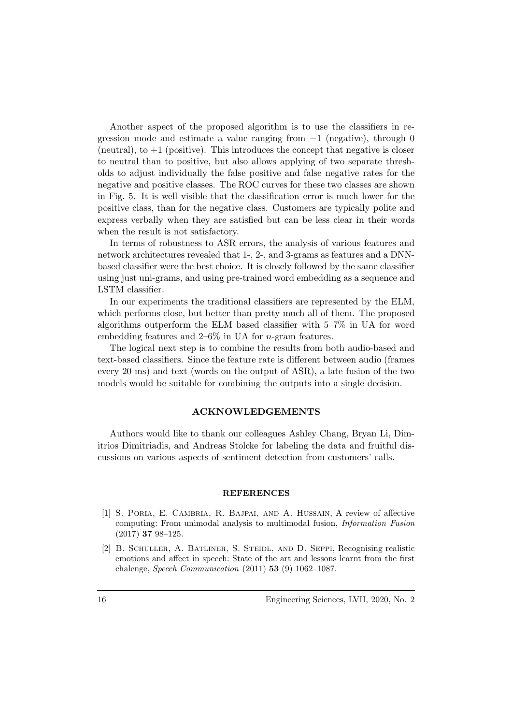Another aspect of the proposed algorithm is to use the classifiers in regression mode and estimate a value ranging from −1 (negative), through 0 (neutral), to  $+1$  (positive). This introduces the concept that negative is closer to neutral than to positive, but also allows applying of two separate thresholds to adjust individually the false positive and false negative rates for the negative and positive classes. The ROC curves for these two classes are shown in Fig. 5. It is well visible that the classification error is much lower for the positive class, than for the negative class. Customers are typically polite and express verbally when they are satisfied but can be less clear in their words when the result is not satisfactory.

In terms of robustness to ASR errors, the analysis of various features and network architectures revealed that 1-, 2-, and 3-grams as features and a DNNbased classifier were the best choice. It is closely followed by the same classifier using just uni-grams, and using pre-trained word embedding as a sequence and LSTM classifier.

In our experiments the traditional classifiers are represented by the ELM, which performs close, but better than pretty much all of them. The proposed algorithms outperform the ELM based classifier with 5–7% in UA for word embedding features and  $2-6\%$  in UA for *n*-gram features.

The logical next step is to combine the results from both audio-based and text-based classifiers. Since the feature rate is different between audio (frames every 20 ms) and text (words on the output of ASR), a late fusion of the two models would be suitable for combining the outputs into a single decision.

#### ACKNOWLEDGEMENTS

Authors would like to thank our colleagues Ashley Chang, Bryan Li, Dimitrios Dimitriadis, and Andreas Stolcke for labeling the data and fruitful discussions on various aspects of sentiment detection from customers' calls.

#### **REFERENCES**

- [1] S. Poria, E. Cambria, R. Bajpai, and A. Hussain, A review of affective computing: From unimodal analysis to multimodal fusion, *Information Fusion* (2017) 37 98–125.
- [2] B. Schuller, A. Batliner, S. Steidl, and D. Seppi, Recognising realistic emotions and affect in speech: State of the art and lessons learnt from the first chalenge, *Speech Communication* (2011) 53 (9) 1062–1087.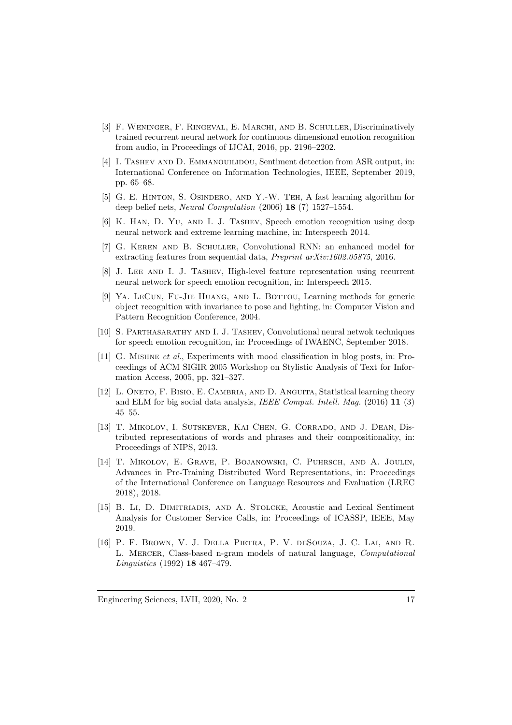- [3] F. WENINGER, F. RINGEVAL, E. MARCHI, AND B. SCHULLER, Discriminatively trained recurrent neural network for continuous dimensional emotion recognition from audio, in Proceedings of IJCAI, 2016, pp. 2196–2202.
- [4] I. TASHEV AND D. EMMANOUILIDOU, Sentiment detection from ASR output, in: International Conference on Information Technologies, IEEE, September 2019, pp. 65–68.
- [5] G. E. Hinton, S. Osindero, and Y.-W. Teh, A fast learning algorithm for deep belief nets, *Neural Computation* (2006) 18 (7) 1527–1554.
- [6] K. Han, D. Yu, and I. J. Tashev, Speech emotion recognition using deep neural network and extreme learning machine, in: Interspeech 2014.
- [7] G. Keren and B. Schuller, Convolutional RNN: an enhanced model for extracting features from sequential data, *Preprint arXiv:1602.05875*, 2016.
- [8] J. Lee and I. J. Tashev, High-level feature representation using recurrent neural network for speech emotion recognition, in: Interspeech 2015.
- [9] YA. LECUN, FU-JIE HUANG, AND L. BOTTOU, Learning methods for generic object recognition with invariance to pose and lighting, in: Computer Vision and Pattern Recognition Conference, 2004.
- [10] S. Parthasarathy and I. J. Tashev, Convolutional neural netwok techniques for speech emotion recognition, in: Proceedings of IWAENC, September 2018.
- [11] G. Mishne *et al*., Experiments with mood classification in blog posts, in: Proceedings of ACM SIGIR 2005 Workshop on Stylistic Analysis of Text for Information Access, 2005, pp. 321–327.
- [12] L. ONETO, F. BISIO, E. CAMBRIA, AND D. ANGUITA, Statistical learning theory and ELM for big social data analysis, *IEEE Comput. Intell. Mag.* (2016) 11 (3) 45–55.
- [13] T. Mikolov, I. Sutskever, Kai Chen, G. Corrado, and J. Dean, Distributed representations of words and phrases and their compositionality, in: Proceedings of NIPS, 2013.
- [14] T. Mikolov, E. Grave, P. Bojanowski, C. Puhrsch, and A. Joulin, Advances in Pre-Training Distributed Word Representations, in: Proceedings of the International Conference on Language Resources and Evaluation (LREC 2018), 2018.
- [15] B. Li, D. Dimitriadis, and A. Stolcke, Acoustic and Lexical Sentiment Analysis for Customer Service Calls, in: Proceedings of ICASSP, IEEE, May 2019.
- [16] P. F. Brown, V. J. Della Pietra, P. V. deSouza, J. C. Lai, and R. L. Mercer, Class-based n-gram models of natural language, *Computational Linguistics* (1992) 18 467–479.